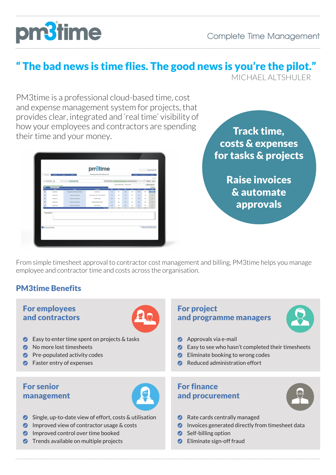# **n'time**

## " The bad news is time flies. The good news is you're the pilot."

MICHAEL ALTSHULER

PM3time is a professional cloud-based time, cost and expense management system for projects, that provides clear, integrated and 'real time' visibility of how your employees and contractors are spending their time and your money.

|                                             |                                                      |                                      | pm <sup>3</sup> time                   |                          |                                                                                              |                |                         |                 |                                                                                       | Michael Hickey Y  |
|---------------------------------------------|------------------------------------------------------|--------------------------------------|----------------------------------------|--------------------------|----------------------------------------------------------------------------------------------|----------------|-------------------------|-----------------|---------------------------------------------------------------------------------------|-------------------|
| Timesheet                                   | Expenses                                             | <b>Reports</b><br>Admin              | Professional Service for Bestoutcome   |                          |                                                                                              |                |                         | Contact         | Notify Users                                                                          | About             |
|                                             |                                                      |                                      |                                        |                          |                                                                                              |                |                         |                 |                                                                                       | Timesheet         |
|                                             | Hane: Michael Hickey [m]                             | West Commercing: [ ET January 2013.] |                                        |                          | One Usual Takk Takk For Press Weel, Ald Takk From Week   07 January 2013     Refine     Save |                |                         |                 |                                                                                       |                   |
|                                             | Tommsheet Details: Time should be recorded to HOURIS |                                      |                                        |                          | Approval Status: Oraft   Approval Email:                                                     |                |                         |                 |                                                                                       | Send For Approval |
| 酬                                           | - Select a Client - [w]<br>C <sub>ref</sub>          | <b>Froject</b>                       | <b>Tank Name</b>                       | $\overline{\phantom{a}}$ | $\overline{1}$                                                                               | $\overline{m}$ | $\overline{\mathbf{m}}$ | $\overline{16}$ | we                                                                                    | Chestip<br>Total  |
| ۰                                           | Bestudosme                                           | Management, Fagosting and Meetings   | Annual Leave                           | 7.58                     | 7.58                                                                                         | 0.03           | 1.00                    | 1.00            | 0.00                                                                                  | 155110            |
| ۰                                           | <b>Bestudgene</b>                                    | Outstanding Development              | Project Spec for PM3 - Resource Module | 0.30                     | 0.08                                                                                         | 0.08           | 1.00                    | 7.58            | 0.00                                                                                  | 2.58              |
|                                             |                                                      |                                      |                                        |                          |                                                                                              |                |                         |                 |                                                                                       |                   |
| ۰                                           | <b>Bestuppene</b>                                    | Outstanding Development              | Planning and Mgt                       | 0.35                     | 0.08                                                                                         | 5.00           | 2.58                    | 5.00            | 0.00                                                                                  | <b>7.58</b>       |
| ٠                                           | Destinationne                                        | Outsourcing Development              | Managing Outsourcing team              | 0.32                     | 0.08                                                                                         | 2.58           | 1.00                    | 5.00            | 0.00                                                                                  | 3.58              |
| ٠                                           | Enthaltions                                          | <b>Outsourcing Development</b>       | DB development                         | 0.35                     | 0.08                                                                                         | 6.00           | 4.00                    | 1.00            | 0.00                                                                                  | 4.00              |
|                                             |                                                      |                                      | <b>Cuity Totals</b>                    | 7.58                     | 2.58                                                                                         | 7.58           | 2.58                    | 2.50            | 600                                                                                   | 37.50             |
| Notes on current task:<br>(mail 4000 chars) |                                                      |                                      |                                        |                          |                                                                                              |                |                         |                 |                                                                                       |                   |
|                                             | Bestoutcome                                          |                                      |                                        |                          |                                                                                              |                |                         |                 | This software is copyright Bestoutcome Ltd.<br>Unauthorized use is shiftly prohibited |                   |

Track time, costs & expenses for tasks & projects

> Raise invoices & automate approvals

From simple timesheet approval to contractor cost management and billing, PM3time helps you manage employee and contractor time and costs across the organisation.

### PM3time Benefits

#### For employees and contractors



- **Easy to enter time spent on projects & tasks**
- $\bullet$  No more lost timesheets
- $\bullet$  Pre-populated activity codes
- **C** Faster entry of expenses

#### For senior management



- Single, up-to-date view of effort, costs & utilisation
- **O** Improved view of contractor usage & costs
- **O** Improved control over time booked
- **O** Trends available on multiple projects

#### For project and programme managers



- **Approvals via e-mail**
- Easy to see who hasn't completed their timesheets
- **Eliminate booking to wrong codes**
- Reduced administration effort

#### For finance and procurement



- Rate cards centrally managed
- **Invoices generated directly from timesheet data**
- Self-billing option
- **C** Eliminate sign-off fraud